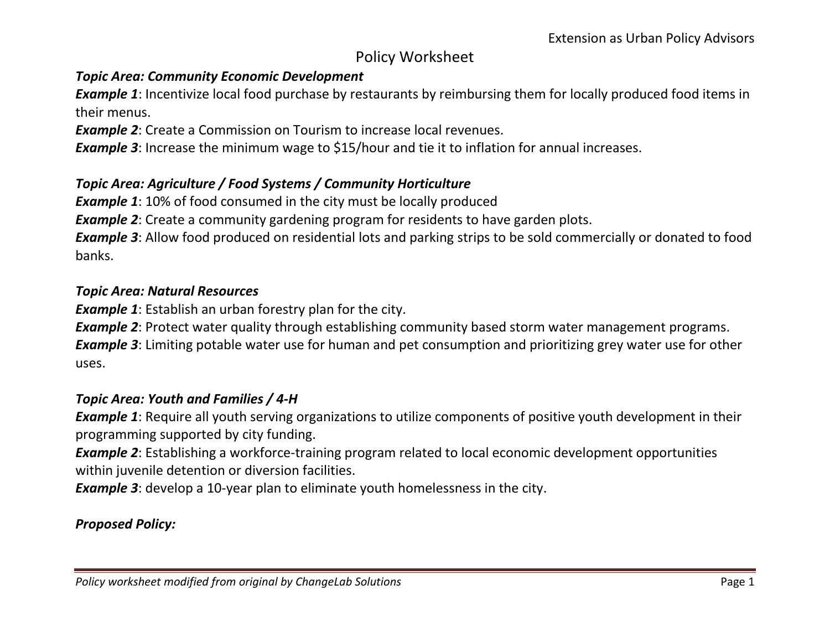# Policy Worksheet

### *Topic Area: Community Economic Development*

*Example 1*: Incentivize local food purchase by restaurants by reimbursing them for locally produced food items in their menus.

*Example 2:* Create a Commission on Tourism to increase local revenues.

**Example 3**: Increase the minimum wage to \$15/hour and tie it to inflation for annual increases.

## *Topic Area: Agriculture / Food Systems / Community Horticulture*

**Example 1**: 10% of food consumed in the city must be locally produced

*Example 2*: Create a community gardening program for residents to have garden plots.

*Example 3*: Allow food produced on residential lots and parking strips to be sold commercially or donated to food banks.

#### *Topic Area: Natural Resources*

*Example 1*: Establish an urban forestry plan for the city.

*Example 2*: Protect water quality through establishing community based storm water management programs. *Example 3*: Limiting potable water use for human and pet consumption and prioritizing grey water use for other uses.

## *Topic Area: Youth and Families / 4-H*

*Example 1*: Require all youth serving organizations to utilize components of positive youth development in their programming supported by city funding.

**Example 2**: Establishing a workforce-training program related to local economic development opportunities within juvenile detention or diversion facilities.

**Example 3**: develop a 10-year plan to eliminate youth homelessness in the city.

## *Proposed Policy:*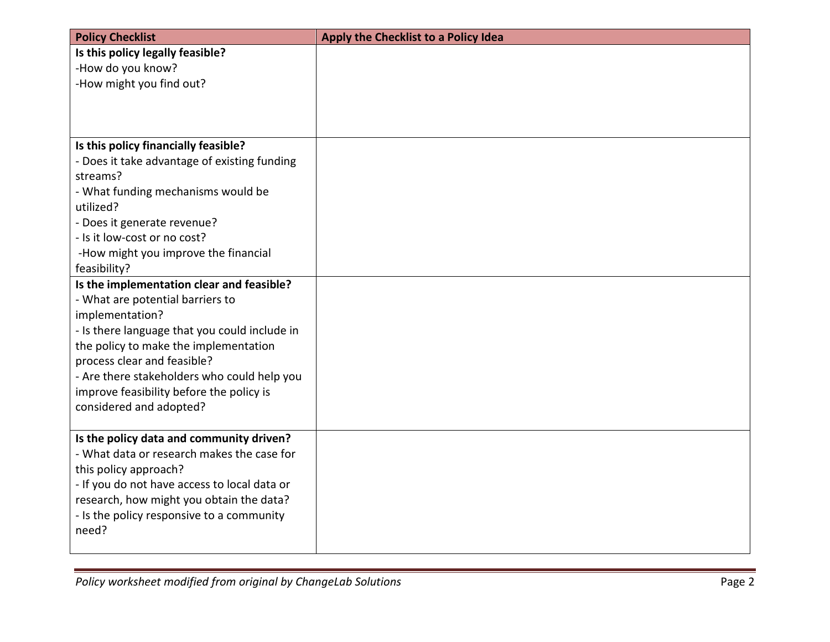| <b>Policy Checklist</b>                       | Apply the Checklist to a Policy Idea |
|-----------------------------------------------|--------------------------------------|
| Is this policy legally feasible?              |                                      |
| -How do you know?                             |                                      |
| -How might you find out?                      |                                      |
|                                               |                                      |
|                                               |                                      |
|                                               |                                      |
| Is this policy financially feasible?          |                                      |
| - Does it take advantage of existing funding  |                                      |
| streams?                                      |                                      |
| - What funding mechanisms would be            |                                      |
| utilized?                                     |                                      |
| - Does it generate revenue?                   |                                      |
| - Is it low-cost or no cost?                  |                                      |
| -How might you improve the financial          |                                      |
| feasibility?                                  |                                      |
| Is the implementation clear and feasible?     |                                      |
| - What are potential barriers to              |                                      |
| implementation?                               |                                      |
| - Is there language that you could include in |                                      |
| the policy to make the implementation         |                                      |
| process clear and feasible?                   |                                      |
| - Are there stakeholders who could help you   |                                      |
| improve feasibility before the policy is      |                                      |
| considered and adopted?                       |                                      |
|                                               |                                      |
| Is the policy data and community driven?      |                                      |
| - What data or research makes the case for    |                                      |
| this policy approach?                         |                                      |
| - If you do not have access to local data or  |                                      |
| research, how might you obtain the data?      |                                      |
| - Is the policy responsive to a community     |                                      |
| need?                                         |                                      |
|                                               |                                      |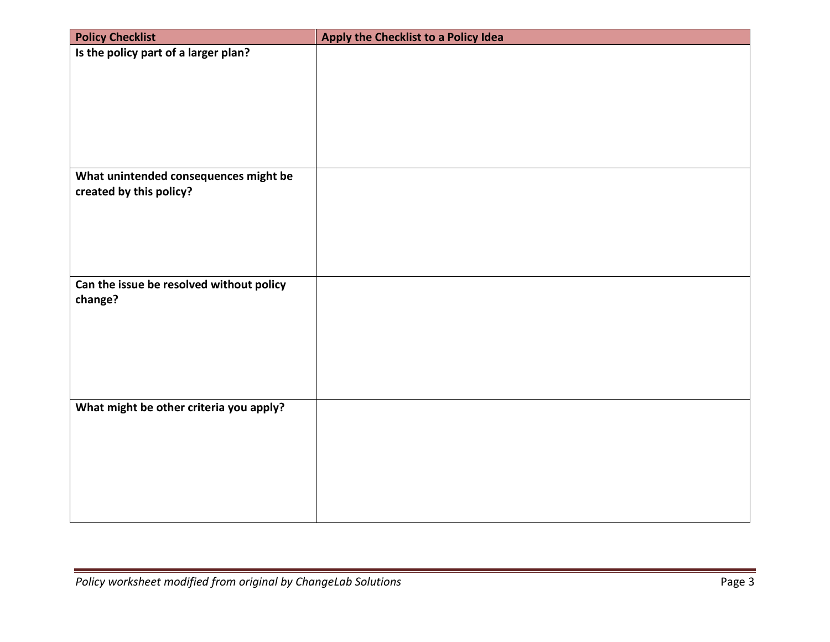| <b>Policy Checklist</b>                  | Apply the Checklist to a Policy Idea |
|------------------------------------------|--------------------------------------|
| Is the policy part of a larger plan?     |                                      |
|                                          |                                      |
|                                          |                                      |
|                                          |                                      |
|                                          |                                      |
|                                          |                                      |
| What unintended consequences might be    |                                      |
| created by this policy?                  |                                      |
|                                          |                                      |
|                                          |                                      |
|                                          |                                      |
| Can the issue be resolved without policy |                                      |
| change?                                  |                                      |
|                                          |                                      |
|                                          |                                      |
|                                          |                                      |
|                                          |                                      |
| What might be other criteria you apply?  |                                      |
|                                          |                                      |
|                                          |                                      |
|                                          |                                      |
|                                          |                                      |
|                                          |                                      |
|                                          |                                      |